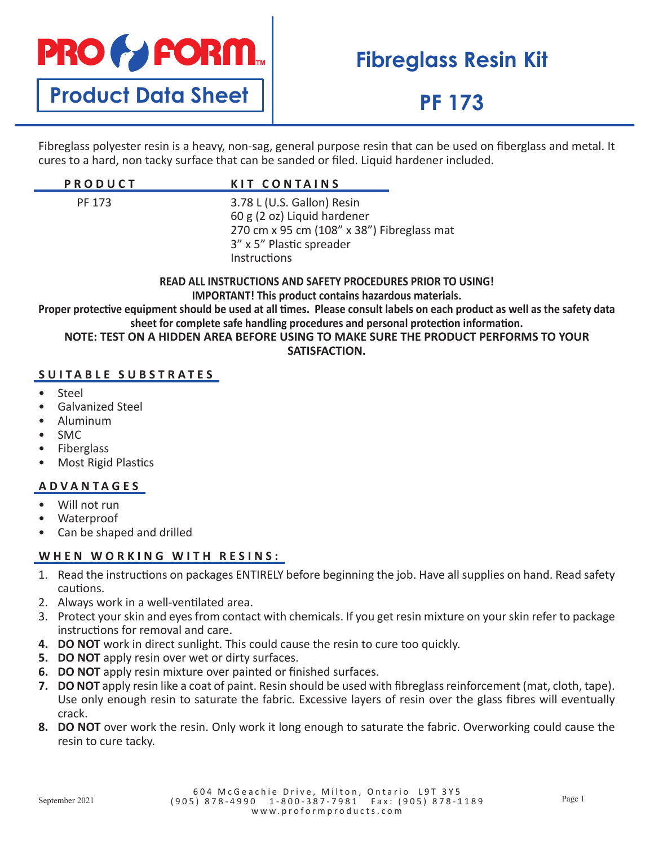

# **Fibreglass Resin Kit**

## **PF 173**

Fibreglass polyester resin is a heavy, non-sag, general purpose resin that can be used on fiberglass and metal. It cures to a hard, non tacky surface that can be sanded or filed. Liquid hardener included.

| <b>PRODUCT</b> | <b>KIT CONTAINS</b>                                                                                                                                 |
|----------------|-----------------------------------------------------------------------------------------------------------------------------------------------------|
| PF 173         | 3.78 L (U.S. Gallon) Resin<br>60 g (2 oz) Liquid hardener<br>270 cm x 95 cm (108" x 38") Fibreglass mat<br>3" x 5" Plastic spreader<br>Instructions |

**READ ALL INSTRUCTIONS AND SAFETY PROCEDURES PRIOR TO USING! IMPORTANT! This product contains hazardous materials. Proper protective equipment should be used at all times. Please consult labels on each product as well as the safety data sheet for complete safe handling procedures and personal protection information. NOTE: TEST ON A HIDDEN AREA BEFORE USING TO MAKE SURE THE PRODUCT PERFORMS TO YOUR** 

**SATISFACTION.**

### **SUITABLE SUBSTRATES**

- Steel
- Galvanized Steel
- Aluminum
- SMC
- **Fiberglass**
- Most Rigid Plastics

#### **ADVANTAGES**

- Will not run
- Waterproof
- Can be shaped and drilled

#### **WHEN WORKING WITH RESINS:**

- 1. Read the instructions on packages ENTIRELY before beginning the job. Have all supplies on hand. Read safety cautions.
- 2. Always work in a well-ventilated area.
- 3. Protect your skin and eyes from contact with chemicals. If you get resin mixture on your skin refer to package instructions for removal and care.
- **4. DO NOT** work in direct sunlight. This could cause the resin to cure too quickly.
- **5. DO NOT** apply resin over wet or dirty surfaces.
- **6. DO NOT** apply resin mixture over painted or finished surfaces.
- **7. DO NOT** apply resin like a coat of paint. Resin should be used with fibreglass reinforcement (mat, cloth, tape). Use only enough resin to saturate the fabric. Excessive layers of resin over the glass fibres will eventually crack.
- **8. DO NOT** over work the resin. Only work it long enough to saturate the fabric. Overworking could cause the resin to cure tacky.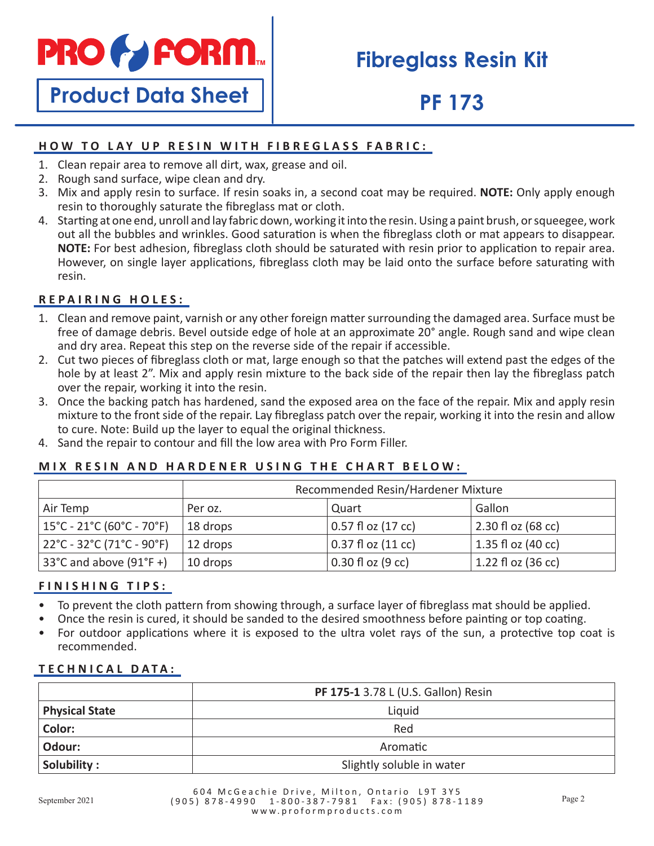

**Product Data Sheet**

## **Fibreglass Resin Kit**

## **PF 173**

### **HOW TO LAY UP RESIN WITH FIBREGLASS FABRIC:**

- 1. Clean repair area to remove all dirt, wax, grease and oil.
- 2. Rough sand surface, wipe clean and dry.
- 3. Mix and apply resin to surface. If resin soaks in, a second coat may be required. **NOTE:** Only apply enough resin to thoroughly saturate the fibreglass mat or cloth.
- 4. Starting at one end, unroll and lay fabric down, working it into the resin. Using a paint brush, or squeegee, work out all the bubbles and wrinkles. Good saturation is when the fibreglass cloth or mat appears to disappear. **NOTE:** For best adhesion, fibreglass cloth should be saturated with resin prior to application to repair area. However, on single layer applications, fibreglass cloth may be laid onto the surface before saturating with resin.

### **REPAIRING HOLES:**

- 1. Clean and remove paint, varnish or any other foreign matter surrounding the damaged area. Surface must be free of damage debris. Bevel outside edge of hole at an approximate 20° angle. Rough sand and wipe clean and dry area. Repeat this step on the reverse side of the repair if accessible.
- 2. Cut two pieces of fibreglass cloth or mat, large enough so that the patches will extend past the edges of the hole by at least 2". Mix and apply resin mixture to the back side of the repair then lay the fibreglass patch over the repair, working it into the resin.
- 3. Once the backing patch has hardened, sand the exposed area on the face of the repair. Mix and apply resin mixture to the front side of the repair. Lay fibreglass patch over the repair, working it into the resin and allow to cure. Note: Build up the layer to equal the original thickness.
- 4. Sand the repair to contour and fill the low area with Pro Form Filler.

### **MIX RESIN AND HARDENER USING THE CHART BELOW:**

|                                                                      | Recommended Resin/Hardener Mixture |                        |                              |
|----------------------------------------------------------------------|------------------------------------|------------------------|------------------------------|
| Air Temp                                                             | Per oz.                            | Quart                  | Gallon                       |
| $15^{\circ}$ C - 21 $^{\circ}$ C (60 $^{\circ}$ C - 70 $^{\circ}$ F) | 18 drops                           | 0.57 fl oz (17 cc)     | $2.30 f$ oz (68 cc)          |
| $22^{\circ}$ C - 32 $^{\circ}$ C (71 $^{\circ}$ C - 90 $^{\circ}$ F) | 12 drops                           | $0.37$ fl oz $(11$ cc) | $ 1.35f$ l oz (40 cc)        |
| 33°C and above $(91°F +)$                                            | 10 drops                           | $0.30$ fl oz (9 cc)    | 1.22 fl oz $(36 \text{ cc})$ |

### **FINISHING TIPS:**

- To prevent the cloth pattern from showing through, a surface layer of fibreglass mat should be applied.
- Once the resin is cured, it should be sanded to the desired smoothness before painting or top coating.
- For outdoor applications where it is exposed to the ultra volet rays of the sun, a protective top coat is recommended.

#### **TECHNICAL DATA:**

|                       | PF 175-1 3.78 L (U.S. Gallon) Resin |
|-----------------------|-------------------------------------|
| <b>Physical State</b> | Liquid                              |
| Color:                | Red                                 |
| Odour:                | Aromatic                            |
| Solubility:           | Slightly soluble in water           |